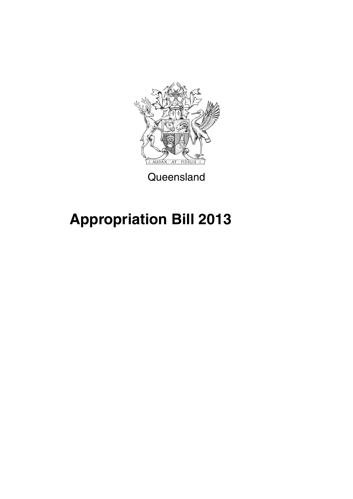

**Queensland** 

# **Appropriation Bill 2013**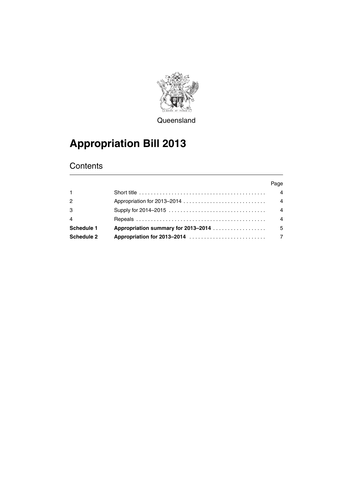

**Queensland** 

# **Appropriation Bill 2013**

### **Contents**

|                |                                                                                                          | Page           |
|----------------|----------------------------------------------------------------------------------------------------------|----------------|
| $\mathbf{1}$   | Short title $\ldots \ldots \ldots \ldots \ldots \ldots \ldots \ldots \ldots \ldots \ldots \ldots \ldots$ | $\overline{4}$ |
| 2              |                                                                                                          | $\overline{4}$ |
| 3              |                                                                                                          | $\overline{4}$ |
| $\overline{4}$ |                                                                                                          | $\overline{A}$ |
| Schedule 1     | <b>Appropriation summary for 2013–2014</b>                                                               | - 5            |
| Schedule 2     |                                                                                                          |                |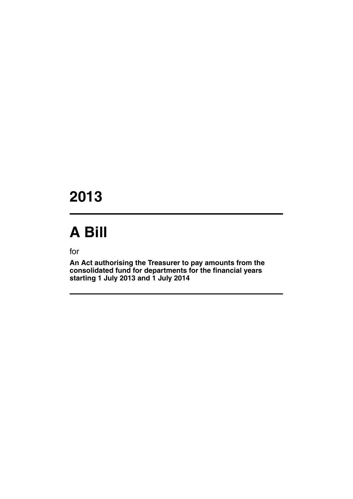# **2013**

# **A Bill**

for

**An Act authorising the Treasurer to pay amounts from the consolidated fund for departments for the financial years starting 1 July 2013 and 1 July 2014**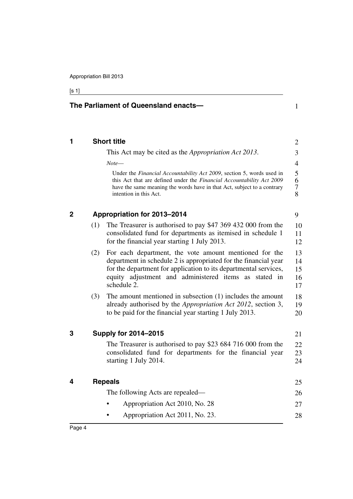**The Parliament of Queensland enacts—**

## [s 1]

<span id="page-5-3"></span><span id="page-5-2"></span><span id="page-5-1"></span><span id="page-5-0"></span>

|     | <b>Short title</b>                                                                                                                                                                                                                                                    |
|-----|-----------------------------------------------------------------------------------------------------------------------------------------------------------------------------------------------------------------------------------------------------------------------|
|     | This Act may be cited as the <i>Appropriation Act 2013</i> .                                                                                                                                                                                                          |
|     | Note—                                                                                                                                                                                                                                                                 |
|     | Under the Financial Accountability Act 2009, section 5, words used in<br>this Act that are defined under the Financial Accountability Act 2009<br>have the same meaning the words have in that Act, subject to a contrary<br>intention in this Act.                   |
|     | <b>Appropriation for 2013-2014</b>                                                                                                                                                                                                                                    |
| (1) | The Treasurer is authorised to pay \$47 369 432 000 from the<br>consolidated fund for departments as itemised in schedule 1<br>for the financial year starting 1 July 2013.                                                                                           |
| (2) | For each department, the vote amount mentioned for the<br>department in schedule 2 is appropriated for the financial year<br>for the department for application to its departmental services,<br>equity adjustment and administered items as stated in<br>schedule 2. |
| (3) | The amount mentioned in subsection (1) includes the amount<br>already authorised by the <i>Appropriation Act 2012</i> , section 3,<br>to be paid for the financial year starting 1 July 2013.                                                                         |
|     | <b>Supply for 2014-2015</b>                                                                                                                                                                                                                                           |
|     | The Treasurer is authorised to pay \$23 684 716 000 from the<br>consolidated fund for departments for the financial year<br>starting 1 July 2014.                                                                                                                     |
|     | <b>Repeals</b>                                                                                                                                                                                                                                                        |
|     | The following Acts are repealed—                                                                                                                                                                                                                                      |
|     | Appropriation Act 2010, No. 28                                                                                                                                                                                                                                        |
|     | Appropriation Act 2011, No. 23.                                                                                                                                                                                                                                       |
|     |                                                                                                                                                                                                                                                                       |

1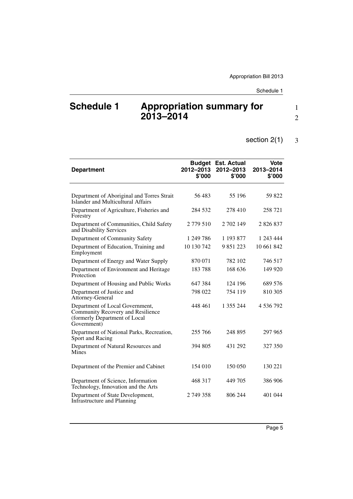## <span id="page-6-0"></span>**Schedule 1 Appropriation summary for 2013–2014**

#### section 2(1) 3

| <b>Department</b>                                                                                                    | 2012-2013<br>\$'000 | <b>Budget Est. Actual</b><br>2012-2013<br>\$'000 | <b>Vote</b><br>2013-2014<br>\$'000 |
|----------------------------------------------------------------------------------------------------------------------|---------------------|--------------------------------------------------|------------------------------------|
|                                                                                                                      |                     |                                                  |                                    |
| Department of Aboriginal and Torres Strait<br>Islander and Multicultural Affairs                                     | 56483               | 55 196                                           | 59 822                             |
| Department of Agriculture, Fisheries and<br>Forestry                                                                 | 284 532             | 278 410                                          | 258 721                            |
| Department of Communities, Child Safety<br>and Disability Services                                                   | 2 779 510           | 2 702 149                                        | 2826837                            |
| Department of Community Safety                                                                                       | 1 249 786           | 1 193 877                                        | 1 243 444                          |
| Department of Education, Training and<br>Employment                                                                  | 10 130 742          | 9851223                                          | 10 661 842                         |
| Department of Energy and Water Supply                                                                                | 870 071             | 782 102                                          | 746 517                            |
| Department of Environment and Heritage<br>Protection                                                                 | 183788              | 168 636                                          | 149 920                            |
| Department of Housing and Public Works                                                                               | 647 384             | 124 196                                          | 689 576                            |
| Department of Justice and<br>Attorney-General                                                                        | 798 022             | 754 119                                          | 810 305                            |
| Department of Local Government,<br>Community Recovery and Resilience<br>(formerly Department of Local<br>Government) | 448 461             | 1 355 244                                        | 4 536 792                          |
| Department of National Parks, Recreation,<br>Sport and Racing                                                        | 255 766             | 248 895                                          | 297 965                            |
| Department of Natural Resources and<br>Mines                                                                         | 394 805             | 431 292                                          | 327 350                            |
| Department of the Premier and Cabinet                                                                                | 154 010             | 150 050                                          | 130 221                            |
| Department of Science, Information<br>Technology, Innovation and the Arts                                            | 468 317             | 449 705                                          | 386 906                            |
| Department of State Development,<br>Infrastructure and Planning                                                      | 2 749 358           | 806 244                                          | 401 044                            |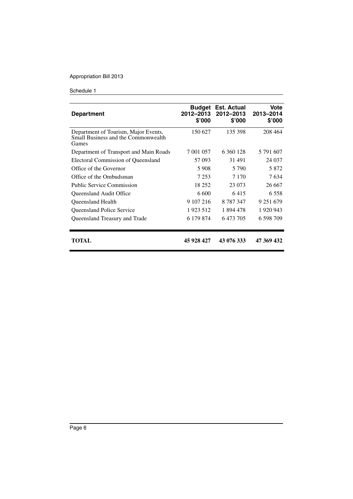| <b>Department</b>                                                                    | Budget<br>2012-2013<br>\$'000 | <b>Est. Actual</b><br>2012-2013<br>\$'000 | Vote<br>2013-2014<br>\$'000 |
|--------------------------------------------------------------------------------------|-------------------------------|-------------------------------------------|-----------------------------|
| Department of Tourism, Major Events,<br>Small Business and the Commonwealth<br>Games | 150 627                       | 135 398                                   | 208 464                     |
| Department of Transport and Main Roads                                               | 7 001 057                     | 6 360 128                                 | 5 791 607                   |
| Electoral Commission of Queensland                                                   | 57 093                        | 31 491                                    | 24 037                      |
| Office of the Governor                                                               | 5908                          | 5 7 9 0                                   | 5 8 7 2                     |
| Office of the Ombudsman                                                              | 7 2 5 3                       | 7 1 7 0                                   | 7634                        |
| <b>Public Service Commission</b>                                                     | 18 25 2                       | 23 073                                    | 26 667                      |
| <b>Oueensland Audit Office</b>                                                       | 6 600                         | 6415                                      | 6 5 5 8                     |
| <b>Oueensland Health</b>                                                             | 9 107 216                     | 8 7 8 7 3 4 7                             | 9 251 679                   |
| Queensland Police Service                                                            | 1923 512                      | 1894478                                   | 1 920 943                   |
| Queensland Treasury and Trade                                                        | 6 179 874                     | 6 473 705                                 | 6 598 709                   |
| TOTAL                                                                                | 45 928 427                    | 43 076 333                                | 47 369 432                  |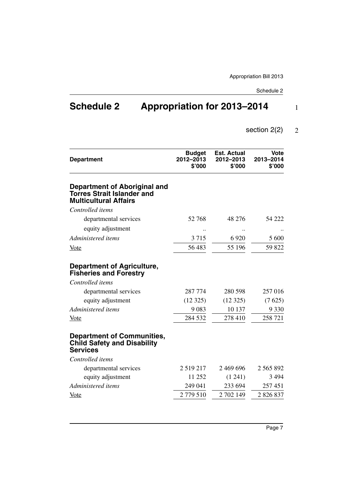1

## <span id="page-8-0"></span>**Schedule 2 Appropriation for 2013–2014**

#### section 2(2) 2

| <b>Department</b>                                                                                 | <b>Budget</b><br>2012-2013<br>\$'000 | <b>Est. Actual</b><br>2012-2013<br>\$'000 | <b>Vote</b><br>2013-2014<br>\$'000 |
|---------------------------------------------------------------------------------------------------|--------------------------------------|-------------------------------------------|------------------------------------|
| Department of Aboriginal and<br><b>Torres Strait Islander and</b><br><b>Multicultural Affairs</b> |                                      |                                           |                                    |
| Controlled items                                                                                  |                                      |                                           |                                    |
| departmental services                                                                             | 52 768                               | 48 276                                    | 54 222                             |
| equity adjustment                                                                                 |                                      |                                           |                                    |
| Administered items                                                                                | 3715                                 | 6920                                      | 5 600                              |
| <u>Vote</u>                                                                                       | 56 483                               | 55 196                                    | 59 822                             |
| <b>Department of Agriculture,</b><br><b>Fisheries and Forestry</b>                                |                                      |                                           |                                    |
| Controlled items                                                                                  |                                      |                                           |                                    |
| departmental services                                                                             | 287 774                              | 280 598                                   | 257 016                            |
| equity adjustment                                                                                 | (12325)                              | (12325)                                   | (7625)                             |
| Administered items                                                                                | 9083                                 | 10 137                                    | 9 3 3 0                            |
| <u>Vote</u>                                                                                       | 284 532                              | 278 410                                   | 258 721                            |
| <b>Department of Communities,</b><br><b>Child Safety and Disability</b><br><b>Services</b>        |                                      |                                           |                                    |
| Controlled items                                                                                  |                                      |                                           |                                    |
| departmental services                                                                             | 2 5 1 9 2 1 7                        | 2 469 696                                 | 2 5 6 5 8 9 2                      |
| equity adjustment                                                                                 | 11 252                               | (1241)                                    | 3 4 9 4                            |
| Administered items                                                                                | 249 041                              | 233 694                                   | 257451                             |
| <u>Vote</u>                                                                                       | 2779510                              | 2 702 149                                 | 2 8 2 6 8 3 7                      |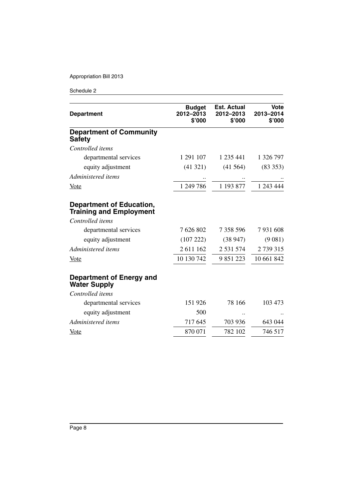| <b>Department</b>                                                 | <b>Budget</b><br>2012-2013<br>\$'000 | <b>Est. Actual</b><br>2012-2013<br>\$'000 | <b>Vote</b><br>2013-2014<br>\$'000 |
|-------------------------------------------------------------------|--------------------------------------|-------------------------------------------|------------------------------------|
| <b>Department of Community</b><br><b>Safety</b>                   |                                      |                                           |                                    |
| Controlled items                                                  |                                      |                                           |                                    |
| departmental services                                             | 1 291 107                            | 1 235 441                                 | 1 326 797                          |
| equity adjustment                                                 | (41321)                              | (41564)                                   | (83353)                            |
| Administered items                                                |                                      |                                           |                                    |
| <u>Vote</u>                                                       | 1 249 786                            | 1 193 877                                 | 1 243 444                          |
| <b>Department of Education,</b><br><b>Training and Employment</b> |                                      |                                           |                                    |
| Controlled items                                                  |                                      |                                           |                                    |
| departmental services                                             | 7 626 802                            | 7 358 596                                 | 7931608                            |
| equity adjustment                                                 | (107 222)                            | (38947)                                   | (9081)                             |
| Administered items                                                | 2 611 162                            | 2 5 3 1 5 7 4                             | 2739315                            |
| <u>Vote</u>                                                       | 10 130 742                           | 9 851 223                                 | 10 661 842                         |
| Department of Energy and<br><b>Water Supply</b>                   |                                      |                                           |                                    |
| Controlled items                                                  |                                      |                                           |                                    |
| departmental services                                             | 151 926                              | 78 166                                    | 103 473                            |
| equity adjustment                                                 | 500                                  |                                           |                                    |
| Administered items                                                | 717 645                              | 703 936                                   | 643 044                            |
| <b>Vote</b>                                                       | 870 071                              | 782 102                                   | 746 517                            |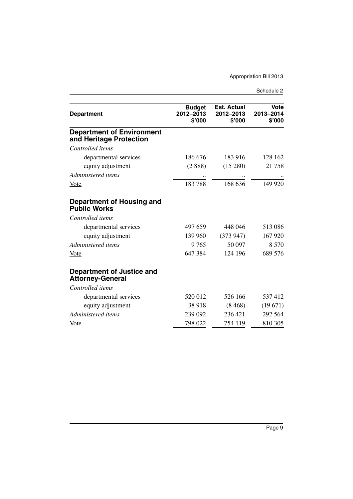| <b>Department</b>                                           | <b>Budget</b><br>2012-2013<br>\$'000 | <b>Est. Actual</b><br>2012-2013<br>\$'000 | <b>Vote</b><br>2013-2014<br>\$'000 |
|-------------------------------------------------------------|--------------------------------------|-------------------------------------------|------------------------------------|
| <b>Department of Environment</b><br>and Heritage Protection |                                      |                                           |                                    |
| Controlled items                                            |                                      |                                           |                                    |
| departmental services                                       | 186 676                              | 183 916                                   | 128 162                            |
| equity adjustment                                           | (2888)                               | (15280)                                   | 21758                              |
| Administered items                                          |                                      |                                           |                                    |
| <b>Vote</b>                                                 | 183788                               | 168 636                                   | 149 920                            |
| <b>Department of Housing and</b><br><b>Public Works</b>     |                                      |                                           |                                    |
| Controlled items                                            |                                      |                                           |                                    |
| departmental services                                       | 497 659                              | 448 046                                   | 513 086                            |
| equity adjustment                                           | 139 960                              | (373947)                                  | 167 920                            |
| Administered items                                          | 9765                                 | 50 097                                    | 8 5 7 0                            |
| <b>Vote</b>                                                 | 647 384                              | 124 196                                   | 689 576                            |
| <b>Department of Justice and</b><br><b>Attorney-General</b> |                                      |                                           |                                    |
| Controlled items                                            |                                      |                                           |                                    |
| departmental services                                       | 520 012                              | 526 166                                   | 537412                             |
| equity adjustment                                           | 38 918                               | (8468)                                    | (19671)                            |
| Administered items                                          | 239 092                              | 236 421                                   | 292 564                            |
| Vote                                                        | 798 022                              | 754 119                                   | 810 305                            |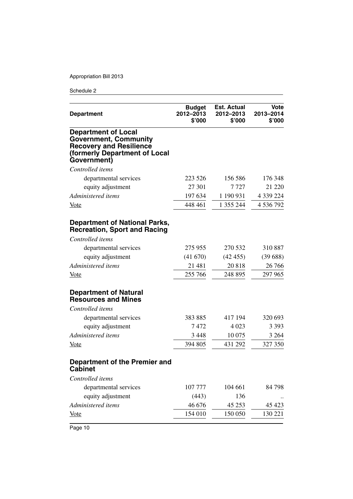| <b>Department</b>                                                                                                                            | <b>Budget</b><br>2012-2013<br>\$'000 | <b>Est. Actual</b><br>2012-2013<br>\$'000 | Vote<br>2013-2014<br>\$'000 |
|----------------------------------------------------------------------------------------------------------------------------------------------|--------------------------------------|-------------------------------------------|-----------------------------|
| <b>Department of Local</b><br><b>Government, Community</b><br><b>Recovery and Resilience</b><br>(formerly Department of Local<br>Government) |                                      |                                           |                             |
| Controlled items                                                                                                                             |                                      |                                           |                             |
| departmental services                                                                                                                        | 223 526                              | 156 586                                   | 176 348                     |
| equity adjustment                                                                                                                            | 27 301                               | 7 727                                     | 21 220                      |
| Administered items                                                                                                                           | 197 634                              | 1 190 931                                 | 4 339 224                   |
| <b>Vote</b>                                                                                                                                  | 448 461                              | 1 355 244                                 | 4 536 792                   |
| <b>Department of National Parks,</b><br><b>Recreation, Sport and Racing</b>                                                                  |                                      |                                           |                             |
| Controlled items                                                                                                                             |                                      |                                           |                             |
| departmental services                                                                                                                        | 275 955                              | 270 532                                   | 310 887                     |
| equity adjustment                                                                                                                            | (41670)                              | (42455)                                   | (39688)                     |
| Administered items                                                                                                                           | 21 481                               | 20818                                     | 26 76 6                     |
| <u>Vote</u>                                                                                                                                  | 255 766                              | 248 895                                   | 297 965                     |
| <b>Department of Natural</b><br><b>Resources and Mines</b>                                                                                   |                                      |                                           |                             |
| Controlled items                                                                                                                             |                                      |                                           |                             |
| departmental services                                                                                                                        | 383 885                              | 417 194                                   | 320 693                     |
| equity adjustment                                                                                                                            | 7472                                 | 4 0 23                                    | 3 3 9 3                     |
| Administered items                                                                                                                           | 3 4 4 8                              | 10 075                                    | 3 2 6 4                     |
| <u>Vote</u>                                                                                                                                  | 394 805                              | 431 292                                   | 327 350                     |
| Department of the Premier and<br><b>Cabinet</b>                                                                                              |                                      |                                           |                             |
| Controlled items                                                                                                                             |                                      |                                           |                             |
| departmental services                                                                                                                        | 107 777                              | 104 661                                   | 84798                       |
| equity adjustment                                                                                                                            | (443)                                | 136                                       |                             |
| Administered items                                                                                                                           | 46 676                               | 45 253                                    | 45 423                      |
| <b>Vote</b>                                                                                                                                  | 154 010                              | 150 050                                   | 130 221                     |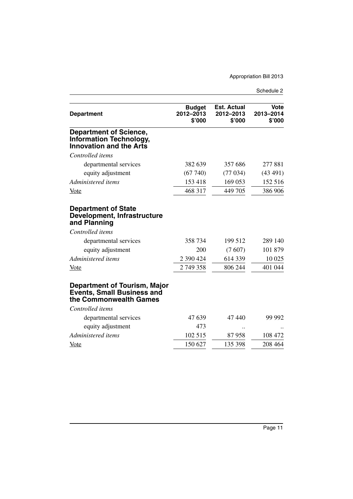| <b>Department</b>                                                                                                                                  | <b>Budget</b><br>2012-2013<br>\$'000 | <b>Est. Actual</b><br>2012-2013<br>\$'000 | <b>Vote</b><br>2013-2014<br>\$'000 |
|----------------------------------------------------------------------------------------------------------------------------------------------------|--------------------------------------|-------------------------------------------|------------------------------------|
| <b>Department of Science,</b><br><b>Information Technology,</b><br><b>Innovation and the Arts</b>                                                  |                                      |                                           |                                    |
| Controlled items                                                                                                                                   |                                      |                                           |                                    |
| departmental services                                                                                                                              | 382 639                              | 357 686                                   | 277 881                            |
| equity adjustment                                                                                                                                  | (67740)                              | (77034)                                   | (43 491)                           |
| Administered items                                                                                                                                 | 153 418                              | 169 053                                   | 152 516                            |
| <u>Vote</u>                                                                                                                                        | 468 317                              | 449 705                                   | 386 906                            |
| <b>Department of State</b><br><b>Development, Infrastructure</b><br>and Planning<br>Controlled items<br>departmental services<br>equity adjustment | 358 734<br>200                       | 199 512<br>(7607)                         | 289 140<br>101 879                 |
| Administered items                                                                                                                                 | 2 390 424                            | 614 339                                   | 10 025                             |
| Vote                                                                                                                                               | 2749358                              | 806 244                                   | 401 044                            |
| <b>Department of Tourism, Major</b><br><b>Events, Small Business and</b><br>the Commonwealth Games                                                 |                                      |                                           |                                    |
| Controlled items                                                                                                                                   |                                      |                                           |                                    |
| departmental services                                                                                                                              | 47 639                               | 47440                                     | 99 992                             |
| equity adjustment                                                                                                                                  | 473                                  |                                           |                                    |
| Administered items                                                                                                                                 | 102 515                              | 87958                                     | 108 472                            |
| <b>Vote</b>                                                                                                                                        | 150 627                              | 135 398                                   | 208 464                            |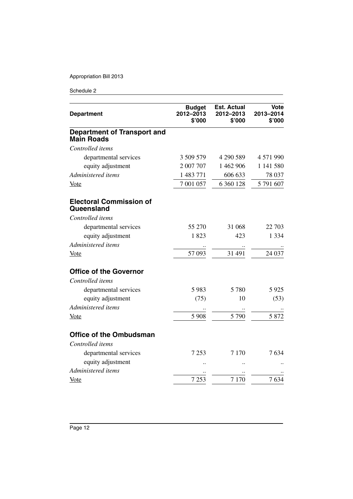| <b>Department</b>                                       | <b>Budget</b><br>2012-2013<br>\$'000 | <b>Est. Actual</b><br>2012-2013<br>\$'000 | Vote<br>2013-2014<br>\$'000 |
|---------------------------------------------------------|--------------------------------------|-------------------------------------------|-----------------------------|
| <b>Department of Transport and</b><br><b>Main Roads</b> |                                      |                                           |                             |
| Controlled items                                        |                                      |                                           |                             |
| departmental services                                   | 3 509 579                            | 4 290 589                                 | 4 571 990                   |
| equity adjustment                                       | 2 007 707                            | 1 462 906                                 | 1 141 580                   |
| Administered items                                      | 1 483 771                            | 606 633                                   | 78 037                      |
| Vote                                                    | 7 001 057                            | 6 360 128                                 | 5 791 607                   |
| <b>Electoral Commission of</b><br>Queensland            |                                      |                                           |                             |
| Controlled items                                        |                                      |                                           |                             |
| departmental services                                   | 55 270                               | 31 068                                    | 22 703                      |
| equity adjustment                                       | 1823                                 | 423                                       | 1 3 3 4                     |
| Administered items                                      |                                      |                                           |                             |
| Vote                                                    | 57 093                               | 31 491                                    | 24 037                      |
| <b>Office of the Governor</b>                           |                                      |                                           |                             |
| Controlled items                                        |                                      |                                           |                             |
| departmental services                                   | 5983                                 | 5780                                      | 5925                        |
| equity adjustment                                       | (75)                                 | 10                                        | (53)                        |
| Administered items                                      |                                      |                                           |                             |
| <b>Vote</b>                                             | 5 9 0 8                              | 5 7 9 0                                   | 5 8 7 2                     |
| <b>Office of the Ombudsman</b>                          |                                      |                                           |                             |
| Controlled items                                        |                                      |                                           |                             |
| departmental services                                   | 7 2 5 3                              | 7 1 7 0                                   | 7634                        |
| equity adjustment                                       |                                      |                                           |                             |
| Administered items                                      |                                      |                                           |                             |
| <b>Vote</b>                                             | 7 2 5 3                              | 7 1 7 0                                   | 7634                        |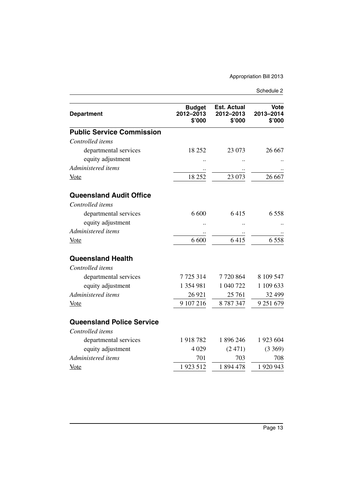| <b>Department</b>                | <b>Budget</b><br>2012-2013<br>\$'000 | <b>Est. Actual</b><br>2012-2013<br>\$'000 | Vote<br>2013-2014<br>\$'000 |
|----------------------------------|--------------------------------------|-------------------------------------------|-----------------------------|
| <b>Public Service Commission</b> |                                      |                                           |                             |
| Controlled items                 |                                      |                                           |                             |
| departmental services            | 18 25 2                              | 23 073                                    | 26 667                      |
| equity adjustment                |                                      |                                           |                             |
| Administered items               |                                      |                                           |                             |
| Vote                             | 18 25 2                              | 23 073                                    | 26 667                      |
| <b>Queensland Audit Office</b>   |                                      |                                           |                             |
| Controlled items                 |                                      |                                           |                             |
| departmental services            | 6 600                                | 6415                                      | 6558                        |
| equity adjustment                |                                      |                                           |                             |
| Administered items               |                                      |                                           |                             |
| <u>Vote</u>                      | 6 600                                | 6415                                      | 6558                        |
| <b>Queensland Health</b>         |                                      |                                           |                             |
| Controlled items                 |                                      |                                           |                             |
| departmental services            | 7725314                              | 7720864                                   | 8 109 547                   |
| equity adjustment                | 1 354 981                            | 1 040 722                                 | 1 109 633                   |
| Administered items               | 26 9 21                              | 25 761                                    | 32 499                      |
| <u>Vote</u>                      | 9 107 216                            | 8787347                                   | 9 251 679                   |
| <b>Queensland Police Service</b> |                                      |                                           |                             |
| Controlled items                 |                                      |                                           |                             |
| departmental services            | 1918782                              | 1 896 246                                 | 1 923 604                   |
| equity adjustment                | 4 0 29                               | (2471)                                    | (3369)                      |
| Administered items               | 701                                  | 703                                       | 708                         |
| <u>Vote</u>                      | 1923 512                             | 1894478                                   | 1 920 943                   |